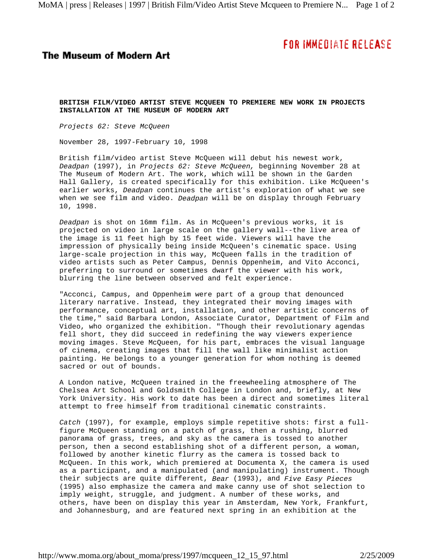## **FOR IMMEDIATE RELEASE**

## **The Museum of Modern Art**

**BRITISH FILM/VIDEO ARTIST STEVE MCQUEEN TO PREMIERE NEW WORK IN PROJECTS INSTALLATION AT THE MUSEUM OF MODERN ART**

*Projects 62: Steve McQueen*

November 28, 1997-February 10, 1998

British film/video artist Steve McQueen will debut his newest work, *Deadpan* (1997), in *Projects 62: Steve McQueen,* beginning November 28 at The Museum of Modern Art. The work, which will be shown in the Garden Hall Gallery, is created specifically for this exhibition. Like McQueen's earlier works, *Deadpan* continues the artist's exploration of what we see when we see film and video. *Deadpan* will be on display through February 10, 1998.

*Deadpan* is shot on 16mm film. As in McQueen's previous works, it is projected on video in large scale on the gallery wall--the live area of the image is 11 feet high by 15 feet wide. Viewers will have the impression of physically being inside McQueen's cinematic space. Using large-scale projection in this way, McQueen falls in the tradition of video artists such as Peter Campus, Dennis Oppenheim, and Vito Acconci, preferring to surround or sometimes dwarf the viewer with his work, blurring the line between observed and felt experience.

"Acconci, Campus, and Oppenheim were part of a group that denounced literary narrative. Instead, they integrated their moving images with performance, conceptual art, installation, and other artistic concerns of the time," said Barbara London, Associate Curator, Department of Film and Video, who organized the exhibition. "Though their revolutionary agendas fell short, they did succeed in redefining the way viewers experience moving images. Steve McQueen, for his part, embraces the visual language of cinema, creating images that fill the wall like minimalist action painting. He belongs to a younger generation for whom nothing is deemed sacred or out of bounds.

A London native, McQueen trained in the freewheeling atmosphere of The Chelsea Art School and Goldsmith College in London and, briefly, at New York University. His work to date has been a direct and sometimes literal attempt to free himself from traditional cinematic constraints.

*Catch* (1997), for example, employs simple repetitive shots: first a fullfigure McQueen standing on a patch of grass, then a rushing, blurred panorama of grass, trees, and sky as the camera is tossed to another person, then a second establishing shot of a different person, a woman, followed by another kinetic flurry as the camera is tossed back to McQueen. In this work, which premiered at Documenta X, the camera is used as a participant, and a manipulated (and manipulating) instrument. Though their subjects are quite different, *Bear* (1993), and *Five Easy Pieces* (1995) also emphasize the camera and make canny use of shot selection to imply weight, struggle, and judgment. A number of these works, and others, have been on display this year in Amsterdam, New York, Frankfurt, and Johannesburg, and are featured next spring in an exhibition at the